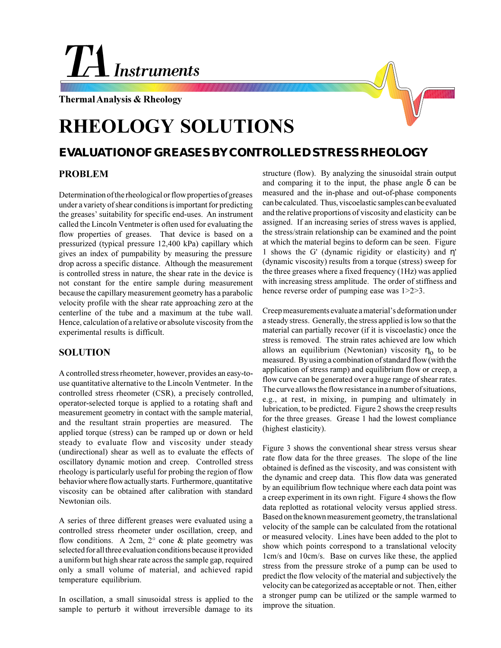# **Instruments**

**Thermal Analysis & Rheology**

## **RHEOLOGY SOLUTIONS**

### **EVALUATION OF GREASES BY CONTROLLED STRESS RHEOLOGY**

#### **PROBLEM**

Determination of the rheological or flow properties of greases under a variety of shear conditions is important for predicting the greases' suitability for specific end-uses. An instrument called the Lincoln Ventmeter is often used for evaluating the flow properties of greases. That device is based on a pressurized (typical pressure 12,400 kPa) capillary which gives an index of pumpability by measuring the pressure drop across a specific distance. Although the measurement is controlled stress in nature, the shear rate in the device is not constant for the entire sample during measurement because the capillary measurement geometry has a parabolic velocity profile with the shear rate approaching zero at the centerline of the tube and a maximum at the tube wall. Hence, calculation of a relative or absolute viscosity from the experimental results is difficult.

#### **SOLUTION**

A controlled stress rheometer, however, provides an easy-touse quantitative alternative to the Lincoln Ventmeter. In the controlled stress rheometer (CSR), a precisely controlled, operator-selected torque is applied to a rotating shaft and measurement geometry in contact with the sample material, and the resultant strain properties are measured. The applied torque (stress) can be ramped up or down or held steady to evaluate flow and viscosity under steady (undirectional) shear as well as to evaluate the effects of oscillatory dynamic motion and creep. Controlled stress rheology is particularly useful for probing the region of flow behavior where flow actually starts. Furthermore, quantitative viscosity can be obtained after calibration with standard Newtonian oils.

A series of three different greases were evaluated using a controlled stress rheometer under oscillation, creep, and flow conditions. A 2cm,  $2^{\circ}$  cone & plate geometry was selected for all three evaluation conditions because it provided a uniform but high shear rate across the sample gap, required only a small volume of material, and achieved rapid temperature equilibrium.

In oscillation, a small sinusoidal stress is applied to the sample to perturb it without irreversible damage to its

structure (flow). By analyzing the sinusoidal strain output and comparing it to the input, the phase angle  $\delta$  can be measured and the in-phase and out-of-phase components can be calculated. Thus, viscoelastic samples can be evaluated and the relative proportions of viscosity and elasticity can be assigned. If an increasing series of stress waves is applied, the stress/strain relationship can be examined and the point at which the material begins to deform can be seen. Figure 1 shows the G' (dynamic rigidity or elasticity) and η' (dynamic viscosity) results from a torque (stress) sweep for the three greases where a fixed frequency (1Hz) was applied with increasing stress amplitude. The order of stiffness and hence reverse order of pumping ease was  $1>2>3$ .

Creep measurements evaluate a material's deformation under a steady stress. Generally, the stress applied is low so that the material can partially recover (if it is viscoelastic) once the stress is removed. The strain rates achieved are low which allows an equilibrium (Newtonian) viscosity  $\eta_0$  to be measured. By using a combination of standard flow (with the application of stress ramp) and equilibrium flow or creep, a flow curve can be generated over a huge range of shear rates. The curve allows the flow resistance in a number of situations, e.g., at rest, in mixing, in pumping and ultimately in lubrication, to be predicted. Figure 2 shows the creep results for the three greases. Grease 1 had the lowest compliance (highest elasticity).

Figure 3 shows the conventional shear stress versus shear rate flow data for the three greases. The slope of the line obtained is defined as the viscosity, and was consistent with the dynamic and creep data. This flow data was generated by an equilibrium flow technique where each data point was a creep experiment in its own right. Figure 4 shows the flow data replotted as rotational velocity versus applied stress. Based on the known measurement geometry, the translational velocity of the sample can be calculated from the rotational or measured velocity. Lines have been added to the plot to show which points correspond to a translational velocity 1cm/s and 10cm/s. Base on curves like these, the applied stress from the pressure stroke of a pump can be used to predict the flow velocity of the material and subjectively the velocity can be categorized as acceptable or not. Then, either a stronger pump can be utilized or the sample warmed to improve the situation.